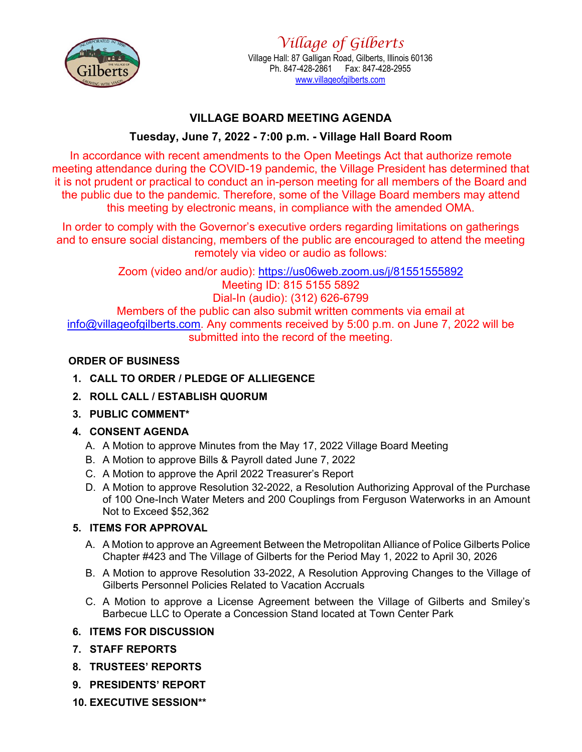

# **VILLAGE BOARD MEETING AGENDA**

## **Tuesday, June 7, 2022 - 7:00 p.m. - Village Hall Board Room**

In accordance with recent amendments to the Open Meetings Act that authorize remote meeting attendance during the COVID-19 pandemic, the Village President has determined that it is not prudent or practical to conduct an in-person meeting for all members of the Board and the public due to the pandemic. Therefore, some of the Village Board members may attend this meeting by electronic means, in compliance with the amended OMA.

In order to comply with the Governor's executive orders regarding limitations on gatherings and to ensure social distancing, members of the public are encouraged to attend the meeting remotely via video or audio as follows:

Zoom (video and/or audio): https://us06web.zoom.us/j/81551555892 Meeting ID: 815 5155 5892 Dial-In (audio): (312) 626-6799 Members of the public can also submit written comments via email at info@villageofgilberts.com. Any comments received by 5:00 p.m. on June 7, 2022 will be submitted into the record of the meeting.

## **ORDER OF BUSINESS**

- **1. CALL TO ORDER / PLEDGE OF ALLIEGENCE**
- **2. ROLL CALL / ESTABLISH QUORUM**
- **3. PUBLIC COMMENT\***

## **4. CONSENT AGENDA**

- A. A Motion to approve Minutes from the May 17, 2022 Village Board Meeting
- B. A Motion to approve Bills & Payroll dated June 7, 2022
- C. A Motion to approve the April 2022 Treasurer's Report
- D. A Motion to approve Resolution 32-2022, a Resolution Authorizing Approval of the Purchase of 100 One-Inch Water Meters and 200 Couplings from Ferguson Waterworks in an Amount Not to Exceed \$52,362

### **5. ITEMS FOR APPROVAL**

- A. A Motion to approve an Agreement Between the Metropolitan Alliance of Police Gilberts Police Chapter #423 and The Village of Gilberts for the Period May 1, 2022 to April 30, 2026
- B. A Motion to approve Resolution 33-2022, A Resolution Approving Changes to the Village of Gilberts Personnel Policies Related to Vacation Accruals
- C. A Motion to approve a License Agreement between the Village of Gilberts and Smiley's Barbecue LLC to Operate a Concession Stand located at Town Center Park

### **6. ITEMS FOR DISCUSSION**

- **7. STAFF REPORTS**
- **8. TRUSTEES' REPORTS**
- **9. PRESIDENTS' REPORT**
- **10. EXECUTIVE SESSION\*\***